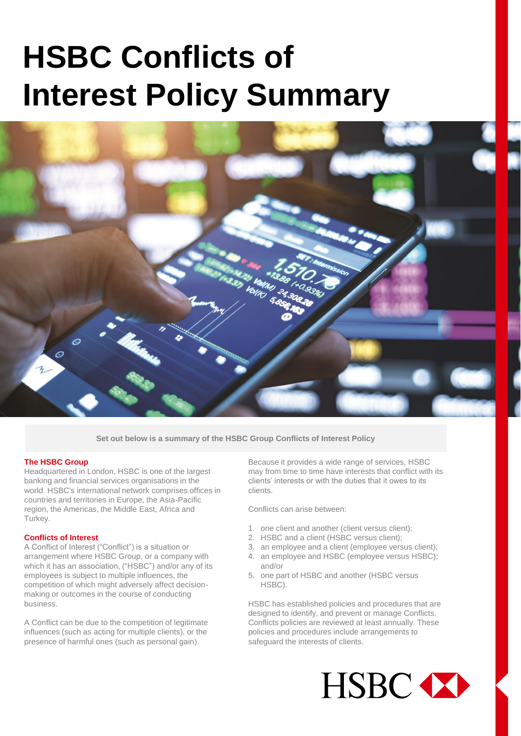# **HSBC Conflicts of Interest Policy Summary**



**Set out below is a summary of the HSBC Group Conflicts of Interest Policy**

# **The HSBC Group**

Headquartered in London, HSBC is one of the largest banking and financial services organisations in the world. HSBC's international network comprises offices in countries and territories in Europe, the Asia-Pacific region, the Americas, the Middle East, Africa and Turkey.

#### **Conflicts of Interest**

A Conflict of Interest ("Conflict") is a situation or arrangement where HSBC Group, or a company with which it has an association, ("HSBC") and/or any of its employees is subject to multiple influences, the competition of which might adversely affect decisionmaking or outcomes in the course of conducting business.

A Conflict can be due to the competition of legitimate influences (such as acting for multiple clients), or the presence of harmful ones (such as personal gain).

Because it provides a wide range of services, HSBC may from time to time have interests that conflict with its clients' interests or with the duties that it owes to its clients.

Conflicts can arise between:

- 1. one client and another (client versus client);
- 2. HSBC and a client (HSBC versus client);
- 3. an employee and a client (employee versus client);
- 4. an employee and HSBC (employee versus HSBC); and/or
- 5. one part of HSBC and another (HSBC versus HSBC).

HSBC has established policies and procedures that are designed to identify, and prevent or manage Conflicts. Conflicts policies are reviewed at least annually. These policies and procedures include arrangements to safeguard the interests of clients.